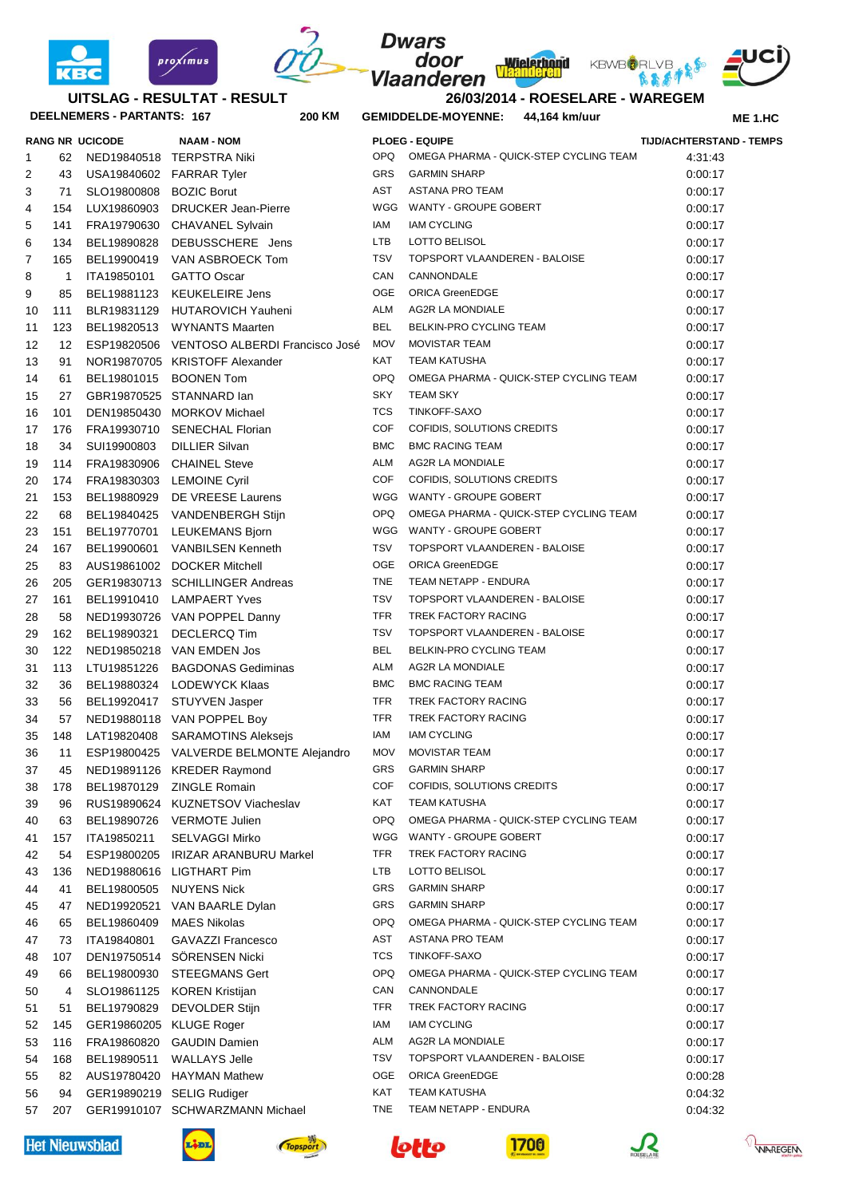



## **DEELNEMERS - PARTANTS: 167 200 UITSLAG - RESULTAT - RESULT**

 $prox/mus$ 

## **Wielerhond** door **Vlaanderen**

**Dwars** 



医高房中

**26/03/2014 - ROESELARE - WAREGEM KM GEMIDDELDE-MOYENNE: 44,164 km/uur**

**ME 1.HC**

|    |              | <b>RANG NR UCICODE</b>  | <b>NAAM - NOM</b>                          |                   | <b>PLOEG - EQUIPE</b>                  | <b>TIJD/ACHTERSTAND - TEMPS</b> |
|----|--------------|-------------------------|--------------------------------------------|-------------------|----------------------------------------|---------------------------------|
| 1  | 62           |                         | NED19840518 TERPSTRA Niki                  | <b>OPQ</b>        | OMEGA PHARMA - QUICK-STEP CYCLING TEAM | 4:31:43                         |
| 2  | 43           |                         | USA19840602 FARRAR Tyler                   | <b>GRS</b>        | <b>GARMIN SHARP</b>                    | 0:00:17                         |
| 3  | 71           | SLO19800808 BOZIC Borut |                                            | <b>AST</b>        | ASTANA PRO TEAM                        | 0:00:17                         |
| 4  | 154          | LUX19860903             | <b>DRUCKER Jean-Pierre</b>                 | WGG               | WANTY - GROUPE GOBERT                  | 0:00:17                         |
| 5  | 141          |                         | FRA19790630 CHAVANEL Sylvain               | IAM               | <b>IAM CYCLING</b>                     | 0:00:17                         |
| 6  | 134          | BEL19890828             | DEBUSSCHERE Jens                           | LTB               | LOTTO BELISOL                          | 0:00:17                         |
| 7  | 165          |                         | BEL19900419 VAN ASBROECK Tom               | <b>TSV</b>        | TOPSPORT VLAANDEREN - BALOISE          | 0:00:17                         |
| 8  | $\mathbf{1}$ | ITA19850101             | <b>GATTO Oscar</b>                         | CAN               | CANNONDALE                             | 0:00:17                         |
| 9  | 85           |                         | BEL19881123 KEUKELEIRE Jens                | OGE               | <b>ORICA GreenEDGE</b>                 | 0:00:17                         |
| 10 | 111          |                         | BLR19831129 HUTAROVICH Yauheni             | ALM               | AG2R LA MONDIALE                       | 0:00:17                         |
| 11 | 123          |                         | BEL19820513 WYNANTS Maarten                | <b>BEL</b>        | BELKIN-PRO CYCLING TEAM                | 0:00:17                         |
| 12 | 12           |                         | ESP19820506 VENTOSO ALBERDI Francisco José | <b>MOV</b>        | <b>MOVISTAR TEAM</b>                   | 0:00:17                         |
| 13 | 91           |                         | NOR19870705 KRISTOFF Alexander             | KAT               | <b>TEAM KATUSHA</b>                    | 0:00:17                         |
| 14 | 61           |                         | BEL19801015 BOONEN Tom                     | <b>OPQ</b>        | OMEGA PHARMA - QUICK-STEP CYCLING TEAM | 0:00:17                         |
| 15 | 27           |                         | GBR19870525 STANNARD lan                   | SKY               | <b>TEAM SKY</b>                        | 0:00:17                         |
| 16 | 101          |                         | DEN19850430 MORKOV Michael                 | <b>TCS</b>        | TINKOFF-SAXO                           | 0:00:17                         |
| 17 | 176          |                         | FRA19930710 SENECHAL Florian               | <b>COF</b>        | COFIDIS, SOLUTIONS CREDITS             | 0:00:17                         |
| 18 | 34           | SUI19900803             | <b>DILLIER Silvan</b>                      | <b>BMC</b>        | <b>BMC RACING TEAM</b>                 | 0:00:17                         |
| 19 | 114          | FRA19830906             | <b>CHAINEL Steve</b>                       | ALM               | AG2R LA MONDIALE                       | 0:00:17                         |
| 20 | 174          |                         | FRA19830303 LEMOINE Cyril                  | <b>COF</b>        | COFIDIS, SOLUTIONS CREDITS             | 0:00:17                         |
| 21 | 153          |                         | BEL19880929 DE VREESE Laurens              |                   | WGG WANTY - GROUPE GOBERT              |                                 |
|    |              |                         |                                            | OPQ.              | OMEGA PHARMA - QUICK-STEP CYCLING TEAM | 0:00:17                         |
| 22 | 68           |                         | BEL19840425 VANDENBERGH Stijn              |                   |                                        | 0:00:17                         |
| 23 | 151          | BEL19770701             | LEUKEMANS Bjorn                            |                   | WGG WANTY - GROUPE GOBERT              | 0:00:17                         |
| 24 | 167          | BEL19900601             | <b>VANBILSEN Kenneth</b>                   | <b>TSV</b><br>OGE | TOPSPORT VLAANDEREN - BALOISE          | 0:00:17                         |
| 25 | 83           |                         | AUS19861002 DOCKER Mitchell                |                   | <b>ORICA GreenEDGE</b>                 | 0:00:17                         |
| 26 | 205          |                         | GER19830713 SCHILLINGER Andreas            | <b>TNE</b>        | TEAM NETAPP - ENDURA                   | 0:00:17                         |
| 27 | 161          |                         | BEL19910410 LAMPAERT Yves                  | <b>TSV</b>        | TOPSPORT VLAANDEREN - BALOISE          | 0:00:17                         |
| 28 | 58           |                         | NED19930726 VAN POPPEL Danny               | <b>TFR</b>        | TREK FACTORY RACING                    | 0:00:17                         |
| 29 | 162          | BEL19890321             | <b>DECLERCQ Tim</b>                        | <b>TSV</b>        | TOPSPORT VLAANDEREN - BALOISE          | 0:00:17                         |
| 30 | 122          |                         | NED19850218 VAN EMDEN Jos                  | <b>BEL</b>        | BELKIN-PRO CYCLING TEAM                | 0:00:17                         |
| 31 | 113          | LTU19851226             | <b>BAGDONAS Gediminas</b>                  | ALM               | AG2R LA MONDIALE                       | 0:00:17                         |
| 32 | 36           | BEL19880324             | LODEWYCK Klaas                             | <b>BMC</b>        | <b>BMC RACING TEAM</b>                 | 0:00:17                         |
| 33 | 56           | BEL19920417             | STUYVEN Jasper                             | <b>TFR</b>        | TREK FACTORY RACING                    | 0:00:17                         |
| 34 | 57           |                         | NED19880118 VAN POPPEL Boy                 | <b>TFR</b>        | TREK FACTORY RACING                    | 0:00:17                         |
| 35 | 148          | LAT19820408             | <b>SARAMOTINS Aleksejs</b>                 | IAM               | <b>IAM CYCLING</b>                     | 0:00:17                         |
| 36 | 11           |                         | ESP19800425 VALVERDE BELMONTE Alejandro    | <b>MOV</b>        | <b>MOVISTAR TEAM</b>                   | 0:00:17                         |
| 37 | 45           |                         | NED19891126 KREDER Raymond                 | GRS               | <b>GARMIN SHARP</b>                    | 0:00:17                         |
| 38 | 178          | BEL19870129             | <b>ZINGLE Romain</b>                       | <b>COF</b>        | COFIDIS, SOLUTIONS CREDITS             | 0:00:17                         |
| 39 | 96           | RUS19890624             | KUZNETSOV Viacheslav                       | KAT               | <b>TEAM KATUSHA</b>                    | 0:00:17                         |
| 40 | 63           | BEL19890726             | <b>VERMOTE Julien</b>                      | <b>OPQ</b>        | OMEGA PHARMA - QUICK-STEP CYCLING TEAM | 0:00:17                         |
| 41 | 157          | ITA19850211             | <b>SELVAGGI Mirko</b>                      | WGG               | WANTY - GROUPE GOBERT                  | 0:00:17                         |
| 42 | 54           | ESP19800205             | <b>IRIZAR ARANBURU Markel</b>              | TFR               | TREK FACTORY RACING                    | 0:00:17                         |
| 43 | 136          | NED19880616             | LIGTHART Pim                               | LTB               | LOTTO BELISOL                          | 0:00:17                         |
| 44 | 41           | BEL19800505             | <b>NUYENS Nick</b>                         | GRS               | <b>GARMIN SHARP</b>                    | 0:00:17                         |
| 45 | 47           | NED19920521             | VAN BAARLE Dylan                           | GRS               | <b>GARMIN SHARP</b>                    | 0:00:17                         |
| 46 | 65           | BEL19860409             | <b>MAES Nikolas</b>                        | <b>OPQ</b>        | OMEGA PHARMA - QUICK-STEP CYCLING TEAM | 0:00:17                         |
| 47 | 73           | ITA19840801             | GAVAZZI Francesco                          | AST               | <b>ASTANA PRO TEAM</b>                 | 0:00:17                         |
| 48 | 107          | DEN19750514             | SÖRENSEN Nicki                             | <b>TCS</b>        | TINKOFF-SAXO                           | 0:00:17                         |
| 49 | 66           | BEL19800930             | <b>STEEGMANS Gert</b>                      | <b>OPQ</b>        | OMEGA PHARMA - QUICK-STEP CYCLING TEAM | 0:00:17                         |
| 50 | 4            | SLO19861125             | <b>KOREN Kristijan</b>                     | CAN               | CANNONDALE                             | 0:00:17                         |
| 51 | 51           | BEL19790829             | DEVOLDER Stijn                             | TFR               | TREK FACTORY RACING                    | 0:00:17                         |
| 52 | 145          | GER19860205 KLUGE Roger |                                            | IAM               | <b>IAM CYCLING</b>                     | 0:00:17                         |
| 53 | 116          | FRA19860820             | <b>GAUDIN Damien</b>                       | <b>ALM</b>        | AG2R LA MONDIALE                       | 0:00:17                         |
| 54 | 168          | BEL19890511             | <b>WALLAYS Jelle</b>                       | <b>TSV</b>        | TOPSPORT VLAANDEREN - BALOISE          | 0:00:17                         |
| 55 | 82           | AUS19780420             | <b>HAYMAN Mathew</b>                       | OGE               | <b>ORICA GreenEDGE</b>                 | 0:00:28                         |
| 56 | 94           |                         | GER19890219 SELIG Rudiger                  | KAT               | <b>TEAM KATUSHA</b>                    | 0:04:32                         |
| 57 | 207          |                         | GER19910107 SCHWARZMANN Michael            | <b>TNE</b>        | TEAM NETAPP - ENDURA                   | 0:04:32                         |





Topspo







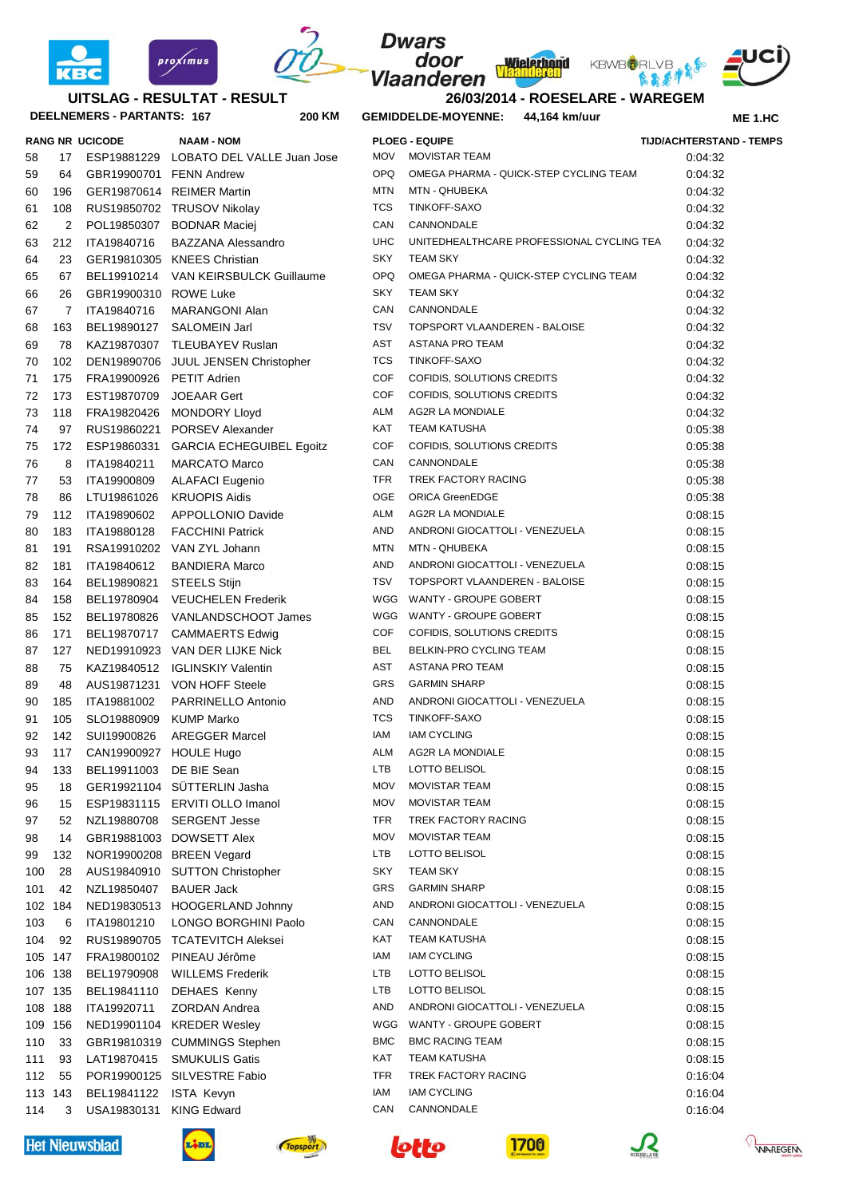



## **DEELNEMERS - PARTANTS: 167 200 UITSLAG - RESULTAT - RESULT**

proximus

|     |                | RANG NR UCICODE             | <b>NAAM - NOM</b>                      |             | <b>PLOEG - EQUIPE</b>                     | <b>TIJD/ACHTERSTA</b> |
|-----|----------------|-----------------------------|----------------------------------------|-------------|-------------------------------------------|-----------------------|
| 58  | 17             |                             | ESP19881229 LOBATO DEL VALLE Juan Jose | <b>MOV</b>  | <b>MOVISTAR TEAM</b>                      | 0:04:32               |
| 59  | 64             | GBR19900701 FENN Andrew     |                                        | <b>OPQ</b>  | OMEGA PHARMA - QUICK-STEP CYCLING TEAM    | 0:04:32               |
| 50  | 196            |                             | GER19870614 REIMER Martin              | <b>MTN</b>  | MTN - QHUBEKA                             | 0.04.32               |
| 61  | 108            |                             | RUS19850702 TRUSOV Nikolay             | <b>TCS</b>  | TINKOFF-SAXO                              | 0:04:32               |
| 62  | 2              |                             | POL19850307 BODNAR Maciej              | CAN         | CANNONDALE                                | 0:04:32               |
| 53  | 212            | ITA19840716                 | <b>BAZZANA Alessandro</b>              | <b>UHC</b>  | UNITEDHEALTHCARE PROFESSIONAL CYCLING TEA | 0.04.32               |
| 64  | 23             |                             | GER19810305 KNEES Christian            | <b>SKY</b>  | <b>TEAM SKY</b>                           | 0.04.32               |
| 65  | 67             |                             | BEL19910214 VAN KEIRSBULCK Guillaume   | <b>OPQ</b>  | OMEGA PHARMA - QUICK-STEP CYCLING TEAM    | 0.04.32               |
| 66  | 26             | GBR19900310 ROWE Luke       |                                        | <b>SKY</b>  | <b>TEAM SKY</b>                           | 0.04.32               |
| 67  | $\overline{7}$ | ITA19840716                 | MARANGONI Alan                         | CAN         | CANNONDALE                                | 0:04:32               |
| 66  | 163            | BEL19890127                 | SALOMEIN Jarl                          | <b>TSV</b>  | TOPSPORT VLAANDEREN - BALOISE             | 0.04.32               |
| 59  | 78             |                             | KAZ19870307 TLEUBAYEV Ruslan           | AST         | ASTANA PRO TEAM                           | 0.04.32               |
| 70  | 102            |                             | DEN19890706 JUUL JENSEN Christopher    | <b>TCS</b>  | TINKOFF-SAXO                              | 0.04.32               |
| 71  | 175            | FRA19900926 PETIT Adrien    |                                        | COF         | COFIDIS, SOLUTIONS CREDITS                | 0.04.32               |
| 72  | 173            | EST19870709                 | <b>JOEAAR Gert</b>                     | COF         | COFIDIS, SOLUTIONS CREDITS                | 0.04.32               |
| 73  | 118            |                             | FRA19820426 MONDORY Lloyd              | <b>ALM</b>  | AG2R LA MONDIALE                          | 0:04:32               |
| 74  | 97             |                             | RUS19860221 PORSEV Alexander           | <b>KAT</b>  | <b>TEAM KATUSHA</b>                       | 0:05:38               |
| 75  | 172            |                             | ESP19860331 GARCIA ECHEGUIBEL Egoitz   | <b>COF</b>  | COFIDIS, SOLUTIONS CREDITS                | 0:05:38               |
| 76  | 8              | ITA19840211                 | <b>MARCATO Marco</b>                   | CAN         | CANNONDALE                                | 0:05:38               |
| 77  | 53             | ITA19900809                 | <b>ALAFACI Eugenio</b>                 | <b>TFR</b>  | TREK FACTORY RACING                       | 0:05:38               |
| 78  | 86             | LTU19861026                 | <b>KRUOPIS Aidis</b>                   | OGE         | <b>ORICA GreenEDGE</b>                    | 0:05:38               |
| 79  | 112            | ITA19890602                 | APPOLLONIO Davide                      | <b>ALM</b>  | AG2R LA MONDIALE                          | 0:08:15               |
| 30  | 183            | ITA19880128                 | <b>FACCHINI Patrick</b>                | AND         | ANDRONI GIOCATTOLI - VENEZUELA            | 0:08:15               |
| 31  | 191            |                             | RSA19910202 VAN ZYL Johann             | <b>MTN</b>  | MTN - QHUBEKA                             | 0:08:15               |
| 32  | 181            | ITA19840612                 | <b>BANDIERA Marco</b>                  | AND         | ANDRONI GIOCATTOLI - VENEZUELA            | 0:08:15               |
| 33  | 164            | BEL19890821                 | <b>STEELS Stijn</b>                    | <b>TSV</b>  | TOPSPORT VLAANDEREN - BALOISE             | 0:08:15               |
| 34  | 158            |                             | BEL19780904 VEUCHELEN Frederik         | WGG         | WANTY - GROUPE GOBERT                     | 0:08:15               |
| 35  | 152            | BEL19780826                 | VANLANDSCHOOT James                    | WGG         | WANTY - GROUPE GOBERT                     | 0:08:15               |
| 36  | 171            |                             | BEL19870717 CAMMAERTS Edwig            | <b>COF</b>  | COFIDIS, SOLUTIONS CREDITS                | 0:08:15               |
| 37  | 127            |                             | NED19910923 VAN DER LIJKE Nick         | <b>BEL</b>  | BELKIN-PRO CYCLING TEAM                   | 0:08:15               |
| 38  | 75             |                             | KAZ19840512 IGLINSKIY Valentin         | AST         | ASTANA PRO TEAM                           | 0:08:15               |
| 39  | 48             |                             | AUS19871231 VON HOFF Steele            | <b>GRS</b>  | <b>GARMIN SHARP</b>                       | 0:08:15               |
| 90  | 185            | ITA19881002                 | PARRINELLO Antonio                     | AND         | ANDRONI GIOCATTOLI - VENEZUELA            | 0:08:15               |
| 91  | 105            | SLO19880909 KUMP Marko      |                                        | <b>TCS</b>  | TINKOFF-SAXO                              | 0:08:15               |
| 92  | 142            | SUI19900826                 | AREGGER Marcel                         | IAM         | <b>IAM CYCLING</b>                        | 0:08:15               |
| 93  | 117            | CAN19900927 HOULE Hugo      |                                        | <b>ALM</b>  | AG2R LA MONDIALE                          | 0:08:15               |
| 94  |                | 133 BEL19911003 DE BIE Sean |                                        |             | LTB LOTTO BELISOL                         | 0:08:15               |
| 95  | 18             |                             | GER19921104 SÜTTERLIN Jasha            | MOV         | <b>MOVISTAR TEAM</b>                      | 0:08:15               |
| 96  | 15             |                             | ESP19831115 ERVITI OLLO Imanol         | <b>MOV</b>  | <b>MOVISTAR TEAM</b>                      | 0:08:15               |
| 97  | 52             |                             | NZL19880708 SERGENT Jesse              | <b>TFR</b>  | TREK FACTORY RACING                       | 0:08:15               |
| 98  | 14             |                             | GBR19881003 DOWSETT Alex               | <b>MOV</b>  | <b>MOVISTAR TEAM</b>                      | 0:08:15               |
| 99  | 132            |                             | NOR19900208 BREEN Vegard               | LTB         | LOTTO BELISOL                             | 0:08:15               |
| 100 | 28             |                             | AUS19840910 SUTTON Christopher         | <b>SKY</b>  | <b>TEAM SKY</b>                           | 0:08:15               |
| 101 | 42             | NZL19850407 BAUER Jack      |                                        | GRS         | <b>GARMIN SHARP</b>                       | 0:08:15               |
|     | 102 184        |                             | NED19830513 HOOGERLAND Johnny          | AND         | ANDRONI GIOCATTOLI - VENEZUELA            | 0:08:15               |
| 103 | 6              | ITA19801210                 | LONGO BORGHINI Paolo                   | CAN         | CANNONDALE                                | 0:08:15               |
| 104 | 92             |                             | RUS19890705 TCATEVITCH Aleksei         | KAT         | <b>TEAM KATUSHA</b>                       | 0:08:15               |
|     | 105 147        |                             | FRA19800102 PINEAU Jérôme              | IAM         | <b>IAM CYCLING</b>                        | 0.08.15               |
|     | 106 138        |                             | BEL19790908 WILLEMS Frederik           | LTB         | LOTTO BELISOL                             | 0.08.15               |
|     | 107 135        |                             | BEL19841110 DEHAES Kenny               | LTB         | LOTTO BELISOL                             | 0:08:15               |
|     | 108 188        | ITA19920711                 | <b>ZORDAN Andrea</b>                   | AND         | ANDRONI GIOCATTOLI - VENEZUELA            | 0:08:15               |
|     | 109 156        |                             | NED19901104 KREDER Wesley              | WGG         | WANTY - GROUPE GOBERT                     | 0:08:15               |
| 110 | 33             |                             | GBR19810319 CUMMINGS Stephen           | ${\sf BMC}$ | <b>BMC RACING TEAM</b>                    | 0:08:15               |
| 111 | 93             | LAT19870415                 | <b>SMUKULIS Gatis</b>                  | KAT         | <b>TEAM KATUSHA</b>                       | 0.08.15               |
| 112 | 55             |                             | POR19900125 SILVESTRE Fabio            | TFR         | TREK FACTORY RACING                       | 0.16:04               |
|     | 113 143        | BEL19841122 ISTA Kevyn      |                                        | IAM         | <b>IAM CYCLING</b>                        | 0:16:04               |
| 114 | 3              | USA19830131 KING Edward     |                                        | CAN         | CANNONDALE                                | 0.16:04               |
|     |                |                             |                                        |             |                                           |                       |

| 60      | 196            |                        | GER19870614 REIMER Martin            | <b>MTN</b> | MTN - QHUBEKA                             | 0:04:32 |  |
|---------|----------------|------------------------|--------------------------------------|------------|-------------------------------------------|---------|--|
| 61      | 108            |                        | RUS19850702 TRUSOV Nikolay           | <b>TCS</b> | TINKOFF-SAXO                              | 0:04:32 |  |
| 62      | 2              |                        | POL19850307 BODNAR Maciei            | CAN        | CANNONDALE                                | 0:04:32 |  |
| 63      | 212            | ITA19840716            | <b>BAZZANA Alessandro</b>            | <b>UHC</b> | UNITEDHEALTHCARE PROFESSIONAL CYCLING TEA | 0:04:32 |  |
| 64      | 23             |                        | GER19810305 KNEES Christian          | <b>SKY</b> | <b>TEAM SKY</b>                           | 0:04:32 |  |
| 65      | 67             |                        | BEL19910214 VAN KEIRSBULCK Guillaume | OPQ        | OMEGA PHARMA - QUICK-STEP CYCLING TEAM    | 0:04:32 |  |
| 66      | 26             | GBR19900310 ROWE Luke  |                                      | <b>SKY</b> | <b>TEAM SKY</b>                           | 0:04:32 |  |
| 67      | $\overline{7}$ | ITA19840716            | MARANGONI Alan                       | CAN        | CANNONDALE                                | 0:04:32 |  |
| 68      | 163            | BEL19890127            | SALOMEIN Jarl                        | <b>TSV</b> | TOPSPORT VLAANDEREN - BALOISE             | 0:04:32 |  |
| 69      | 78             |                        | KAZ19870307 TLEUBAYEV Ruslan         | <b>AST</b> | <b>ASTANA PRO TEAM</b>                    | 0:04:32 |  |
| 70      | 102            |                        | DEN19890706 JUUL JENSEN Christopher  | <b>TCS</b> | TINKOFF-SAXO                              | 0:04:32 |  |
| 71      | 175            | FRA19900926            | PETIT Adrien                         | <b>COF</b> | COFIDIS, SOLUTIONS CREDITS                | 0:04:32 |  |
| 72      | 173            | EST19870709            | <b>JOEAAR Gert</b>                   | <b>COF</b> | COFIDIS, SOLUTIONS CREDITS                | 0:04:32 |  |
| 73      | 118            | FRA19820426            | <b>MONDORY Lloyd</b>                 | ALM        | AG2R LA MONDIALE                          | 0:04:32 |  |
| 74      | 97             | RUS19860221            | PORSEV Alexander                     | KAT        | <b>TEAM KATUSHA</b>                       | 0:05:38 |  |
| 75      | 172            | ESP19860331            | <b>GARCIA ECHEGUIBEL Egoitz</b>      | <b>COF</b> | COFIDIS, SOLUTIONS CREDITS                | 0:05:38 |  |
| 76      | 8              | ITA19840211            | <b>MARCATO Marco</b>                 | CAN        | CANNONDALE                                | 0:05:38 |  |
| 77      | 53             | ITA19900809            | <b>ALAFACI Eugenio</b>               | <b>TFR</b> | TREK FACTORY RACING                       | 0:05:38 |  |
| 78      | 86             | LTU19861026            | <b>KRUOPIS Aidis</b>                 | OGE        | <b>ORICA GreenEDGE</b>                    | 0:05:38 |  |
| 79      | 112            | ITA19890602            | APPOLLONIO Davide                    | ALM        | AG2R LA MONDIALE                          | 0:08:15 |  |
| 80      | 183            | ITA19880128            | <b>FACCHINI Patrick</b>              | AND        | ANDRONI GIOCATTOLI - VENEZUELA            | 0:08:15 |  |
| 81      | 191            |                        | RSA19910202 VAN ZYL Johann           | MTN        | MTN - QHUBEKA                             | 0:08:15 |  |
| 82      | 181            | ITA19840612            | <b>BANDIERA Marco</b>                | AND        | ANDRONI GIOCATTOLI - VENEZUELA            | 0:08:15 |  |
| 83      | 164            | BEL19890821            | <b>STEELS Stijn</b>                  | <b>TSV</b> | TOPSPORT VLAANDEREN - BALOISE             | 0:08:15 |  |
| 84      | 158            | BEL19780904            | <b>VEUCHELEN Frederik</b>            | WGG        | WANTY - GROUPE GOBERT                     | 0:08:15 |  |
| 85      | 152            |                        | BEL19780826 VANLANDSCHOOT James      | WGG        | WANTY - GROUPE GOBERT                     | 0:08:15 |  |
| 86      | 171            | BEL19870717            | <b>CAMMAERTS Edwig</b>               | <b>COF</b> | COFIDIS, SOLUTIONS CREDITS                | 0:08:15 |  |
| 87      | 127            |                        | NED19910923 VAN DER LIJKE Nick       | <b>BEL</b> | BELKIN-PRO CYCLING TEAM                   | 0:08:15 |  |
| 88      | 75             |                        | KAZ19840512 IGLINSKIY Valentin       | <b>AST</b> | ASTANA PRO TEAM                           | 0:08:15 |  |
| 89      | 48             |                        | AUS19871231 VON HOFF Steele          | GRS        | <b>GARMIN SHARP</b>                       | 0:08:15 |  |
| 90      | 185            | ITA19881002            | PARRINELLO Antonio                   | AND        | ANDRONI GIOCATTOLI - VENEZUELA            | 0:08:15 |  |
| 91      | 105            | SLO19880909            | <b>KUMP Marko</b>                    | <b>TCS</b> | TINKOFF-SAXO                              | 0:08:15 |  |
| 92      | 142            | SUI19900826            | <b>AREGGER Marcel</b>                | IAM        | <b>IAM CYCLING</b>                        | 0:08:15 |  |
| 93      | 117            | CAN19900927 HOULE Hugo |                                      | ALM        | AG2R LA MONDIALE                          | 0:08:15 |  |
| 94      | 133            | BEL19911003            | DE BIE Sean                          | <b>LTB</b> | LOTTO BELISOL                             | 0:08:15 |  |
| 95      | 18             |                        | GER19921104 SÜTTERLIN Jasha          | <b>MOV</b> | <b>MOVISTAR TEAM</b>                      | 0:08:15 |  |
| 96      | 15             |                        | ESP19831115 ERVITI OLLO Imanol       | <b>MOV</b> | <b>MOVISTAR TEAM</b>                      | 0:08:15 |  |
| 97      | 52             | NZL19880708            | <b>SERGENT Jesse</b>                 | TFR        | TREK FACTORY RACING                       | 0:08:15 |  |
| 98      | 14             | GBR19881003            | <b>DOWSETT Alex</b>                  | <b>MOV</b> | <b>MOVISTAR TEAM</b>                      | 0:08:15 |  |
| 99      | 132            | NOR19900208            | <b>BREEN Vegard</b>                  | LTB        | LOTTO BELISOL                             | 0:08:15 |  |
| 100     | 28             | AUS19840910            | <b>SUTTON Christopher</b>            | SKY        | TEAM SKY                                  | 0:08:15 |  |
| 101     | 42             | NZL19850407            | <b>BAUER Jack</b>                    | <b>GRS</b> | <b>GARMIN SHARP</b>                       | 0:08:15 |  |
| 102 184 |                | NED19830513            | HOOGERLAND Johnny                    | <b>AND</b> | <b>ANDRONI GIOCATTOLI - VENEZUELA</b>     | 0:08:15 |  |
| 103     | 6              | ITA19801210            | <b>LONGO BORGHINI Paolo</b>          | CAN        | CANNONDALE                                | 0:08:15 |  |
| 104     | 92             | RUS19890705            | <b>TCATEVITCH Aleksei</b>            | KAT        | TEAM KATUSHA                              | 0:08:15 |  |
| 105 147 |                | FRA19800102            | PINEAU Jérôme                        | IAM        | <b>IAM CYCLING</b>                        | 0:08:15 |  |
| 106 138 |                | BEL19790908            | <b>WILLEMS Frederik</b>              | LTB        | LOTTO BELISOL                             | 0:08:15 |  |
| 107 135 |                | BEL19841110            | DEHAES Kenny                         | LTB        | LOTTO BELISOL                             | 0:08:15 |  |
| 108 188 |                | ITA19920711            | ZORDAN Andrea                        | <b>AND</b> | ANDRONI GIOCATTOLI - VENEZUELA            | 0:08:15 |  |
| 109 156 |                | NED19901104            | <b>KREDER Wesley</b>                 | WGG        | WANTY - GROUPE GOBERT                     | 0:08:15 |  |
| 110     | 33             | GBR19810319            | <b>CUMMINGS Stephen</b>              | <b>BMC</b> | <b>BMC RACING TEAM</b>                    | 0:08:15 |  |
| 111     | 93             | LAT19870415            | <b>SMUKULIS Gatis</b>                | KAT        | TEAM KATUSHA                              | 0:08:15 |  |
| 112     | 55             | POR19900125            | <b>SILVESTRE Fabio</b>               | <b>TFR</b> | TREK FACTORY RACING                       | 0:16:04 |  |
| 113 143 |                | BEL19841122            | <b>ISTA Kevyn</b>                    | IAM        | <b>IAM CYCLING</b>                        | 0:16:04 |  |
| 114     | 3              | USA19830131            | <b>KING Edward</b>                   | CAN        | CANNONDALE                                | 0.16:04 |  |
|         |                |                        |                                      |            |                                           |         |  |
|         |                | <b>Het Nieuwsblad</b>  | <b>Topsport</b>                      |            | lotto<br>1700                             |         |  |



**26/03/2014 - ROESELARE - WAREGEM**

**Wielerbond**<br>Vlaaffda (en

**KM GEMIDDELDE-MOYENNE: 44,164 km/uur**

**Dwars** 

door

Vlaanderen

**RANG NR UCICODE NAAM - NOM PLOEG - EQUIPE TIJD/ACHTERSTAND - TEMPS ME 1.HC**



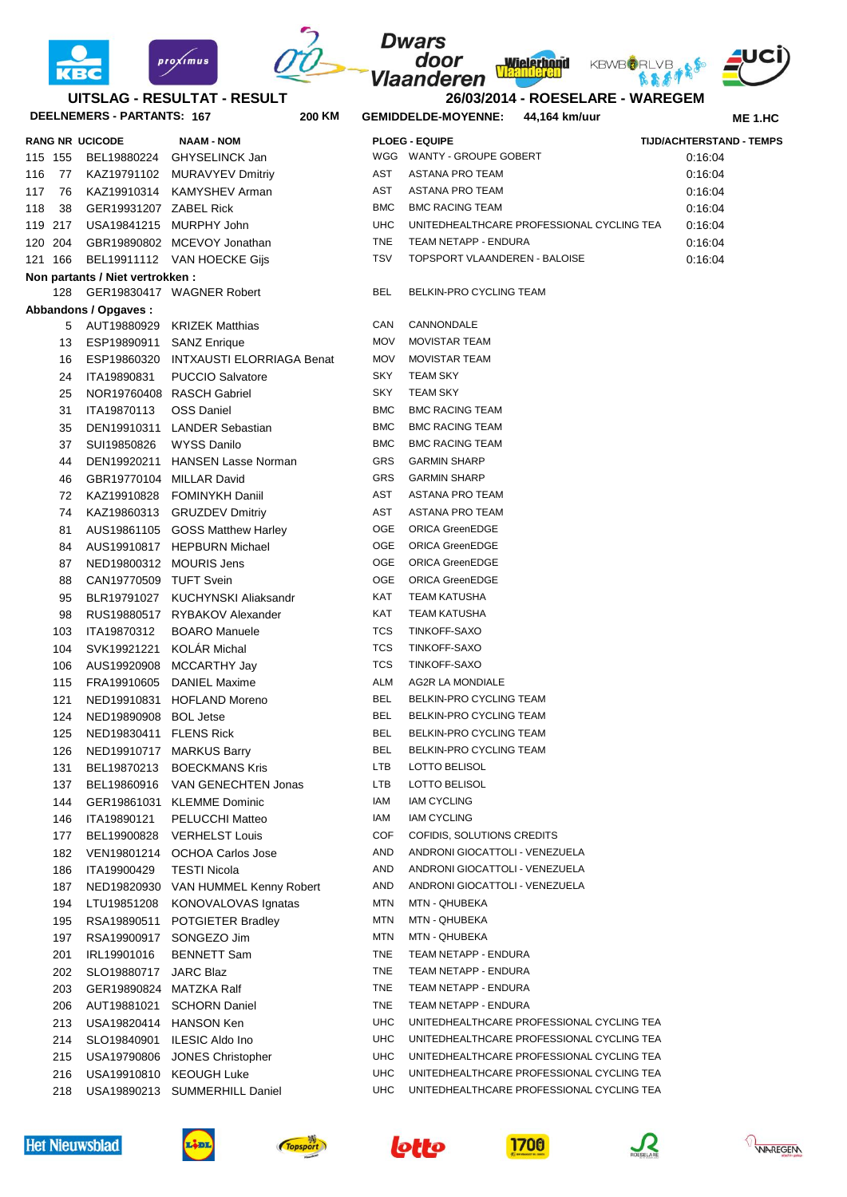



## **DEELNEMERS - PARTANTS: 167 200 UITSLAG - RESULTAT - RESULT**

|     |         | <b>RANG NR UCICODE</b>           | <b>NAAM - NOM</b>                     |            | <b>PLOEG - EQUIPE</b>                     | <b>TIJD/ACHTERSTAND - TEMPS</b> |  |
|-----|---------|----------------------------------|---------------------------------------|------------|-------------------------------------------|---------------------------------|--|
|     | 115 155 |                                  | BEL19880224 GHYSELINCK Jan            |            | WGG WANTY - GROUPE GOBERT                 | 0:16:04                         |  |
| 116 | 77      |                                  | KAZ19791102 MURAVYEV Dmitriy          | AST        | ASTANA PRO TEAM                           | 0.16.04                         |  |
| 117 | 76      |                                  | KAZ19910314 KAMYSHEV Arman            | AST        | ASTANA PRO TEAM                           | 0:16:04                         |  |
| 118 | 38      | GER19931207 ZABEL Rick           |                                       | <b>BMC</b> | <b>BMC RACING TEAM</b>                    | 0:16:04                         |  |
|     | 119 217 |                                  | USA19841215 MURPHY John               | <b>UHC</b> | UNITEDHEALTHCARE PROFESSIONAL CYCLING TEA | 0:16:04                         |  |
|     | 120 204 |                                  | GBR19890802 MCEVOY Jonathan           | <b>TNE</b> | TEAM NETAPP - ENDURA                      | 0:16:04                         |  |
|     | 121 166 |                                  | BEL19911112 VAN HOECKE Gijs           | TSV        | TOPSPORT VLAANDEREN - BALOISE             | 0:16:04                         |  |
|     |         | Non partants / Niet vertrokken : |                                       |            |                                           |                                 |  |
|     |         |                                  | 128 GER19830417 WAGNER Robert         | BEL        | BELKIN-PRO CYCLING TEAM                   |                                 |  |
|     |         | Abbandons / Opgaves :            |                                       |            |                                           |                                 |  |
|     |         |                                  | 5 AUT19880929 KRIZEK Matthias         | CAN        | CANNONDALE                                |                                 |  |
|     | 13      | ESP19890911 SANZ Enrique         |                                       | <b>MOV</b> | <b>MOVISTAR TEAM</b>                      |                                 |  |
|     | 16      |                                  | ESP19860320 INTXAUSTI ELORRIAGA Benat | <b>MOV</b> | <b>MOVISTAR TEAM</b>                      |                                 |  |
|     | 24      | ITA19890831                      | <b>PUCCIO Salvatore</b>               | SKY        | <b>TEAM SKY</b>                           |                                 |  |
|     | 25      |                                  | NOR19760408 RASCH Gabriel             | <b>SKY</b> | <b>TEAM SKY</b>                           |                                 |  |
|     | 31      | ITA19870113                      | <b>OSS Daniel</b>                     | <b>BMC</b> | <b>BMC RACING TEAM</b>                    |                                 |  |
|     | 35      |                                  | DEN19910311 LANDER Sebastian          | <b>BMC</b> | <b>BMC RACING TEAM</b>                    |                                 |  |
|     | 37      | SUI19850826                      | WYSS Danilo                           | <b>BMC</b> | <b>BMC RACING TEAM</b>                    |                                 |  |
|     | 44      |                                  | DEN19920211 HANSEN Lasse Norman       | GRS        | <b>GARMIN SHARP</b>                       |                                 |  |
|     | 46      | GBR19770104 MILLAR David         |                                       | GRS        | <b>GARMIN SHARP</b>                       |                                 |  |
|     | 72      |                                  | KAZ19910828 FOMINYKH Daniil           | AST        | ASTANA PRO TEAM                           |                                 |  |
|     | 74      |                                  | KAZ19860313 GRUZDEV Dmitriy           | AST        | ASTANA PRO TEAM                           |                                 |  |
|     | 81      |                                  | AUS19861105 GOSS Matthew Harley       | OGE        | <b>ORICA GreenEDGE</b>                    |                                 |  |
|     | 84      |                                  | AUS19910817 HEPBURN Michael           | OGE        | <b>ORICA GreenEDGE</b>                    |                                 |  |
|     | 87      | NED19800312 MOURIS Jens          |                                       | OGE        | <b>ORICA GreenEDGE</b>                    |                                 |  |
|     | 88      | CAN19770509 TUFT Svein           |                                       | <b>OGE</b> | <b>ORICA GreenEDGE</b>                    |                                 |  |
|     | 95      |                                  | BLR19791027 KUCHYNSKI Aliaksandr      | KAT        | TEAM KATUSHA                              |                                 |  |
|     | 98      |                                  | RUS19880517 RYBAKOV Alexander         | KAT        | <b>TEAM KATUSHA</b>                       |                                 |  |
|     | 103     | ITA19870312                      | <b>BOARO Manuele</b>                  | TCS        | TINKOFF-SAXO                              |                                 |  |
|     | 104     | SVK19921221                      | <b>KOLAR Michal</b>                   | TCS        | TINKOFF-SAXO                              |                                 |  |
|     | 106     |                                  | AUS19920908 MCCARTHY Jay              | TCS        | TINKOFF-SAXO                              |                                 |  |
|     | 115     |                                  | FRA19910605 DANIEL Maxime             | ALM        | AG2R LA MONDIALE                          |                                 |  |
|     | 121     |                                  | NED19910831 HOFLAND Moreno            | BEL        | BELKIN-PRO CYCLING TEAM                   |                                 |  |
|     | 124     | NED19890908 BOL Jetse            |                                       | <b>BEL</b> | BELKIN-PRO CYCLING TEAM                   |                                 |  |
|     | 125     | NED19830411 FLENS Rick           |                                       | <b>BEL</b> | BELKIN-PRO CYCLING TEAM                   |                                 |  |
|     | 126     |                                  | NED19910717 MARKUS Barry              | BEL        | BELKIN-PRO CYCLING TEAM                   |                                 |  |
|     | 131     |                                  | BEL19870213 BOECKMANS Kris            | LTB        | LOTTO BELISOL                             |                                 |  |
|     | 137     |                                  | BEL19860916 VAN GENECHTEN Jonas       | LTB        | LOTTO BELISOL                             |                                 |  |
|     | 144     |                                  | GER19861031 KLEMME Dominic            | IAM        | IAM CYCLING                               |                                 |  |
|     | 146     | ITA19890121                      | PELUCCHI Matteo                       | IAM        | <b>IAM CYCLING</b>                        |                                 |  |
|     | 177     |                                  | BEL19900828 VERHELST Louis            | COF        | COFIDIS, SOLUTIONS CREDITS                |                                 |  |
|     | 182     |                                  | VEN19801214 OCHOA Carlos Jose         | AND        | ANDRONI GIOCATTOLI - VENEZUELA            |                                 |  |
|     | 186     | ITA19900429                      | <b>TESTI Nicola</b>                   | AND        | ANDRONI GIOCATTOLI - VENEZUELA            |                                 |  |
|     | 187     |                                  | NED19820930 VAN HUMMEL Kenny Robert   | AND        | ANDRONI GIOCATTOLI - VENEZUELA            |                                 |  |
|     | 194     | LTU19851208                      | KONOVALOVAS Ignatas                   | MTN        | MTN - QHUBEKA                             |                                 |  |
|     | 195     |                                  | RSA19890511 POTGIETER Bradley         | MTN        | MTN - QHUBEKA                             |                                 |  |
|     | 197     |                                  | RSA19900917 SONGEZO Jim               | MTN        | MTN - QHUBEKA                             |                                 |  |
|     | 201     | IRL19901016                      | <b>BENNETT Sam</b>                    | TNE        | TEAM NETAPP - ENDURA                      |                                 |  |
|     | 202     | SLO19880717 JARC Blaz            |                                       | TNE        | TEAM NETAPP - ENDURA                      |                                 |  |
|     | 203     | GER19890824 MATZKA Ralf          |                                       | TNE        | TEAM NETAPP - ENDURA                      |                                 |  |
|     | 206     |                                  | AUT19881021 SCHORN Daniel             | TNE        | TEAM NETAPP - ENDURA                      |                                 |  |
|     | 213     | USA19820414 HANSON Ken           |                                       | <b>UHC</b> | UNITEDHEALTHCARE PROFESSIONAL CYCLING TEA |                                 |  |
|     | 214     |                                  | SLO19840901 ILESIC Aldo Ino           | <b>UHC</b> | UNITEDHEALTHCARE PROFESSIONAL CYCLING TEA |                                 |  |
|     | 215     |                                  | USA19790806 JONES Christopher         | <b>UHC</b> | UNITEDHEALTHCARE PROFESSIONAL CYCLING TEA |                                 |  |
|     | 216     | USA19910810 KEOUGH Luke          |                                       | <b>UHC</b> | UNITEDHEALTHCARE PROFESSIONAL CYCLING TEA |                                 |  |
|     | 218     |                                  | USA19890213 SUMMERHILL Daniel         | <b>UHC</b> | UNITEDHEALTHCARE PROFESSIONAL CYCLING TEA |                                 |  |

| 118 38  | GER19931207 ZABEL Rick           |                                       | <b>BMC</b> | <b>BMC RACING TEAM</b>                    | 0:16:04 |
|---------|----------------------------------|---------------------------------------|------------|-------------------------------------------|---------|
| 119 217 | USA19841215 MURPHY John          |                                       | <b>UHC</b> | UNITEDHEALTHCARE PROFESSIONAL CYCLING TEA | 0:16:04 |
| 120 204 |                                  | GBR19890802 MCEVOY Jonathan           | <b>TNE</b> | TEAM NETAPP - ENDURA                      | 0:16:04 |
| 121 166 |                                  | BEL19911112 VAN HOECKE Gijs           | <b>TSV</b> | TOPSPORT VLAANDEREN - BALOISE             | 0:16:04 |
|         | Non partants / Niet vertrokken : |                                       |            |                                           |         |
| 128     |                                  | GER19830417 WAGNER Robert             | <b>BEL</b> | BELKIN-PRO CYCLING TEAM                   |         |
|         | Abbandons / Opgaves:             |                                       |            |                                           |         |
|         |                                  | 5 AUT19880929 KRIZEK Matthias         | CAN        | CANNONDALE                                |         |
| 13      | ESP19890911 SANZ Enrique         |                                       | MOV        | <b>MOVISTAR TEAM</b>                      |         |
| 16      |                                  | ESP19860320 INTXAUSTI ELORRIAGA Benat | MOV        | <b>MOVISTAR TEAM</b>                      |         |
| 24      | ITA19890831                      | <b>PUCCIO Salvatore</b>               | SKY        | <b>TEAM SKY</b>                           |         |
| 25      |                                  | NOR19760408 RASCH Gabriel             | <b>SKY</b> | <b>TEAM SKY</b>                           |         |
| 31      | ITA19870113                      | <b>OSS Daniel</b>                     | <b>BMC</b> | <b>BMC RACING TEAM</b>                    |         |
| 35      |                                  | DEN19910311 LANDER Sebastian          | <b>BMC</b> | <b>BMC RACING TEAM</b>                    |         |
| 37      | SUI19850826                      | <b>WYSS Danilo</b>                    | <b>BMC</b> | <b>BMC RACING TEAM</b>                    |         |
| 44      |                                  | DEN19920211 HANSEN Lasse Norman       | GRS        | <b>GARMIN SHARP</b>                       |         |
| 46      | GBR19770104 MILLAR David         |                                       | GRS        | <b>GARMIN SHARP</b>                       |         |
| 72      |                                  | KAZ19910828 FOMINYKH Daniil           | AST        | ASTANA PRO TEAM                           |         |
| 74      |                                  | KAZ19860313 GRUZDEV Dmitriy           | AST        | <b>ASTANA PRO TEAM</b>                    |         |
| 81      |                                  | AUS19861105 GOSS Matthew Harley       | OGE        | <b>ORICA GreenEDGE</b>                    |         |
| 84      |                                  | AUS19910817 HEPBURN Michael           | OGE        | <b>ORICA GreenEDGE</b>                    |         |
| 87      | NED19800312 MOURIS Jens          |                                       | OGE        | <b>ORICA GreenEDGE</b>                    |         |
| 88      | CAN19770509 TUFT Svein           |                                       | OGE        | <b>ORICA GreenEDGE</b>                    |         |
| 95      |                                  | BLR19791027 KUCHYNSKI Aliaksandr      | KAT        | TEAM KATUSHA                              |         |
| 98      |                                  | RUS19880517 RYBAKOV Alexander         | KAT        | TEAM KATUSHA                              |         |
| 103     | ITA19870312                      | <b>BOARO</b> Manuele                  | TCS        | TINKOFF-SAXO                              |         |
| 104     | SVK19921221 KOLÁR Michal         |                                       | TCS        | TINKOFF-SAXO                              |         |
| 106     |                                  | AUS19920908 MCCARTHY Jay              | <b>TCS</b> | TINKOFF-SAXO                              |         |
| 115     |                                  | FRA19910605 DANIEL Maxime             | ALM        | AG2R LA MONDIALE                          |         |
| 121     |                                  | NED19910831 HOFLAND Moreno            | <b>BEL</b> | BELKIN-PRO CYCLING TEAM                   |         |
| 124     | NED19890908 BOL Jetse            |                                       | <b>BEL</b> | BELKIN-PRO CYCLING TEAM                   |         |
| 125     | NED19830411 FLENS Rick           |                                       | <b>BEL</b> | BELKIN-PRO CYCLING TEAM                   |         |
| 126     |                                  | NED19910717 MARKUS Barry              | <b>BEL</b> | BELKIN-PRO CYCLING TEAM                   |         |
| 131     |                                  | BEL19870213 BOECKMANS Kris            | LTB        | LOTTO BELISOL                             |         |
| 137     |                                  | BEL19860916 VAN GENECHTEN Jonas       | LTB        | LOTTO BELISOL                             |         |
| 144     |                                  | GER19861031 KLEMME Dominic            | IAM        | <b>IAM CYCLING</b>                        |         |
| 146     | ITA19890121                      | <b>PELUCCHI Matteo</b>                | IAM        | <b>IAM CYCLING</b>                        |         |
| 177     |                                  | BEL19900828 VERHELST Louis            | COF        | COFIDIS, SOLUTIONS CREDITS                |         |
| 182     |                                  | VEN19801214 OCHOA Carlos Jose         | AND        | ANDRONI GIOCATTOLI - VENEZUELA            |         |
| 186     | ITA19900429                      | <b>TESTI Nicola</b>                   | AND        | ANDRONI GIOCATTOLI - VENEZUELA            |         |
| 187     |                                  | NED19820930 VAN HUMMEL Kenny Robert   | AND        | ANDRONI GIOCATTOLI - VENEZUELA            |         |
| 194     | LTU19851208                      | KONOVALOVAS Ignatas                   | MTN        | MTN - QHUBEKA                             |         |
| 195     | RSA19890511                      | <b>POTGIETER Bradley</b>              | <b>MTN</b> | MTN - QHUBEKA                             |         |
| 197     | RSA19900917                      | SONGEZO Jim                           | MTN        | MTN - QHUBEKA                             |         |
| 201     | IRL19901016                      | <b>BENNETT Sam</b>                    | TNE        | TEAM NETAPP - ENDURA                      |         |
| 202     | SLO19880717                      | <b>JARC Blaz</b>                      | TNE        | TEAM NETAPP - ENDURA                      |         |
| 203     | GER19890824 MATZKA Ralf          |                                       | TNE        | TEAM NETAPP - ENDURA                      |         |
| 206     | AUT19881021                      | <b>SCHORN Daniel</b>                  | TNE        | TEAM NETAPP - ENDURA                      |         |
| 213     | USA19820414 HANSON Ken           |                                       | UHC        | UNITEDHEALTHCARE PROFESSIONAL CYCLING TEA |         |
| 214     |                                  | SLO19840901 ILESIC Aldo Ino           | UHC        | UNITEDHEALTHCARE PROFESSIONAL CYCLING TEA |         |
| 215     |                                  | USA19790806 JONES Christopher         | UHC        | UNITEDHEALTHCARE PROFESSIONAL CYCLING TEA |         |
| 216     |                                  | USA19910810 KEOUGH Luke               | UHC        | UNITEDHEALTHCARE PROFESSIONAL CYCLING TEA |         |
| 218     |                                  | USA19890213 SUMMERHILL Daniel         | UHC        | UNITEDHEALTHCARE PROFESSIONAL CYCLING TEA |         |
|         |                                  |                                       |            |                                           |         |
|         |                                  |                                       |            |                                           |         |
|         |                                  |                                       |            |                                           |         |















**ME 1.HC**

**26/03/2014 - ROESELARE - WAREGEM KM GEMIDDELDE-MOYENNE: 44,164 km/uur**

**Wielerhond** 

**Dwars** 

door

Vlaanderen